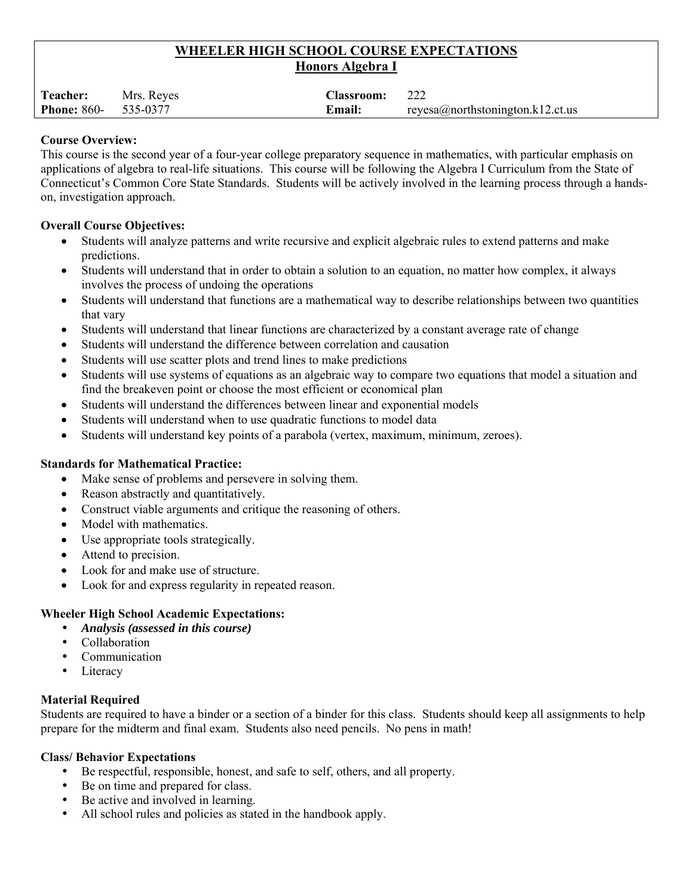# **WHEELER HIGH SCHOOL COURSE EXPECTATIONS Honors Algebra I**

| <b>Teacher:</b>                  | Mrs. Reyes | <b>Classroom:</b> |                                  |
|----------------------------------|------------|-------------------|----------------------------------|
| <b>Phone:</b> $860 - 535 - 0377$ |            | <b>Email:</b>     | reyesa@northstonington.k12.ct.us |

### **Course Overview:**

This course is the second year of a four-year college preparatory sequence in mathematics, with particular emphasis on applications of algebra to real-life situations. This course will be following the Algebra I Curriculum from the State of Connecticut's Common Core State Standards. Students will be actively involved in the learning process through a handson, investigation approach.

## **Overall Course Objectives:**

- Students will analyze patterns and write recursive and explicit algebraic rules to extend patterns and make predictions.
- Students will understand that in order to obtain a solution to an equation, no matter how complex, it always involves the process of undoing the operations
- Students will understand that functions are a mathematical way to describe relationships between two quantities that vary
- Students will understand that linear functions are characterized by a constant average rate of change
- Students will understand the difference between correlation and causation
- Students will use scatter plots and trend lines to make predictions
- Students will use systems of equations as an algebraic way to compare two equations that model a situation and find the breakeven point or choose the most efficient or economical plan
- Students will understand the differences between linear and exponential models
- Students will understand when to use quadratic functions to model data
- Students will understand key points of a parabola (vertex, maximum, minimum, zeroes).

### **Standards for Mathematical Practice:**

- Make sense of problems and persevere in solving them.
- Reason abstractly and quantitatively.
- Construct viable arguments and critique the reasoning of others.
- Model with mathematics.
- Use appropriate tools strategically.
- Attend to precision.
- Look for and make use of structure.
- Look for and express regularity in repeated reason.

# **Wheeler High School Academic Expectations:**

- *Analysis (assessed in this course)*
- Collaboration
- Communication
- Literacy

# **Material Required**

Students are required to have a binder or a section of a binder for this class. Students should keep all assignments to help prepare for the midterm and final exam. Students also need pencils. No pens in math!

### **Class/ Behavior Expectations**

- Be respectful, responsible, honest, and safe to self, others, and all property.
- Be on time and prepared for class.
- Be active and involved in learning.
- All school rules and policies as stated in the handbook apply.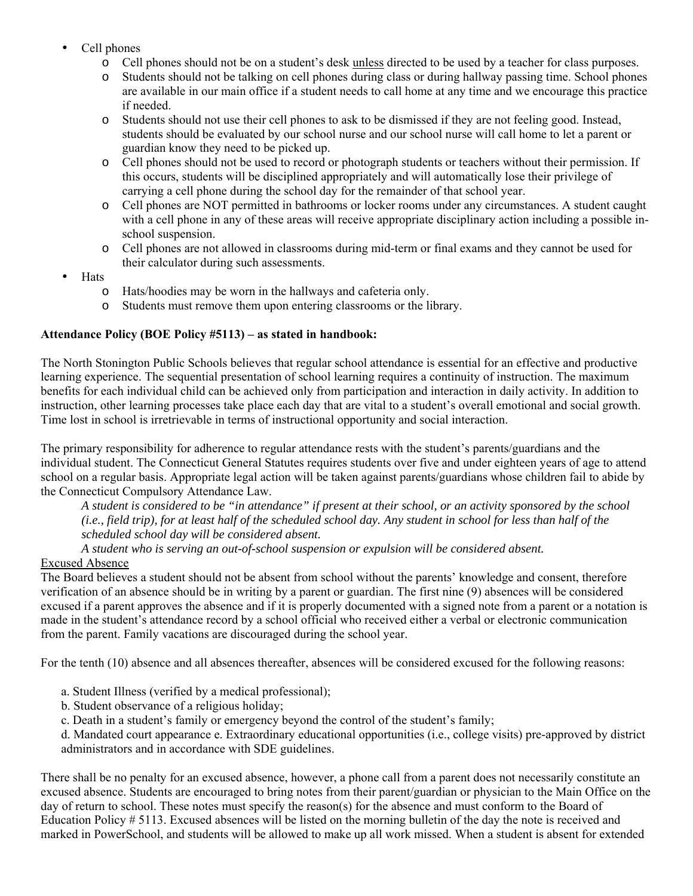- Cell phones
	- o Cell phones should not be on a student's desk unless directed to be used by a teacher for class purposes.
	- o Students should not be talking on cell phones during class or during hallway passing time. School phones are available in our main office if a student needs to call home at any time and we encourage this practice if needed.
	- o Students should not use their cell phones to ask to be dismissed if they are not feeling good. Instead, students should be evaluated by our school nurse and our school nurse will call home to let a parent or guardian know they need to be picked up.
	- o Cell phones should not be used to record or photograph students or teachers without their permission. If this occurs, students will be disciplined appropriately and will automatically lose their privilege of carrying a cell phone during the school day for the remainder of that school year.
	- o Cell phones are NOT permitted in bathrooms or locker rooms under any circumstances. A student caught with a cell phone in any of these areas will receive appropriate disciplinary action including a possible inschool suspension.
	- o Cell phones are not allowed in classrooms during mid-term or final exams and they cannot be used for their calculator during such assessments.
- Hats
	- o Hats/hoodies may be worn in the hallways and cafeteria only.
	- o Students must remove them upon entering classrooms or the library.

## **Attendance Policy (BOE Policy #5113) – as stated in handbook:**

The North Stonington Public Schools believes that regular school attendance is essential for an effective and productive learning experience. The sequential presentation of school learning requires a continuity of instruction. The maximum benefits for each individual child can be achieved only from participation and interaction in daily activity. In addition to instruction, other learning processes take place each day that are vital to a student's overall emotional and social growth. Time lost in school is irretrievable in terms of instructional opportunity and social interaction.

The primary responsibility for adherence to regular attendance rests with the student's parents/guardians and the individual student. The Connecticut General Statutes requires students over five and under eighteen years of age to attend school on a regular basis. Appropriate legal action will be taken against parents/guardians whose children fail to abide by the Connecticut Compulsory Attendance Law.

*A student is considered to be "in attendance" if present at their school, or an activity sponsored by the school (i.e., field trip), for at least half of the scheduled school day. Any student in school for less than half of the scheduled school day will be considered absent.* 

*A student who is serving an out-of-school suspension or expulsion will be considered absent.* 

# Excused Absence

The Board believes a student should not be absent from school without the parents' knowledge and consent, therefore verification of an absence should be in writing by a parent or guardian. The first nine (9) absences will be considered excused if a parent approves the absence and if it is properly documented with a signed note from a parent or a notation is made in the student's attendance record by a school official who received either a verbal or electronic communication from the parent. Family vacations are discouraged during the school year.

For the tenth (10) absence and all absences thereafter, absences will be considered excused for the following reasons:

- a. Student Illness (verified by a medical professional);
- b. Student observance of a religious holiday;
- c. Death in a student's family or emergency beyond the control of the student's family;
- d. Mandated court appearance e. Extraordinary educational opportunities (i.e., college visits) pre-approved by district administrators and in accordance with SDE guidelines.

There shall be no penalty for an excused absence, however, a phone call from a parent does not necessarily constitute an excused absence. Students are encouraged to bring notes from their parent/guardian or physician to the Main Office on the day of return to school. These notes must specify the reason(s) for the absence and must conform to the Board of Education Policy # 5113. Excused absences will be listed on the morning bulletin of the day the note is received and marked in PowerSchool, and students will be allowed to make up all work missed. When a student is absent for extended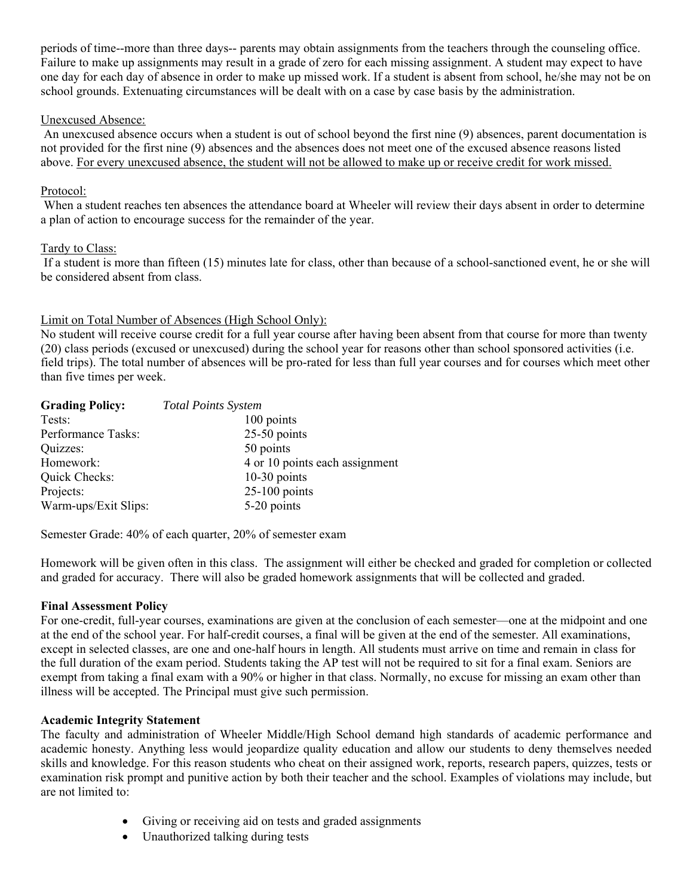periods of time--more than three days-- parents may obtain assignments from the teachers through the counseling office. Failure to make up assignments may result in a grade of zero for each missing assignment. A student may expect to have one day for each day of absence in order to make up missed work. If a student is absent from school, he/she may not be on school grounds. Extenuating circumstances will be dealt with on a case by case basis by the administration.

#### Unexcused Absence:

 An unexcused absence occurs when a student is out of school beyond the first nine (9) absences, parent documentation is not provided for the first nine (9) absences and the absences does not meet one of the excused absence reasons listed above. For every unexcused absence, the student will not be allowed to make up or receive credit for work missed.

### Protocol:

 When a student reaches ten absences the attendance board at Wheeler will review their days absent in order to determine a plan of action to encourage success for the remainder of the year.

#### Tardy to Class:

 If a student is more than fifteen (15) minutes late for class, other than because of a school-sanctioned event, he or she will be considered absent from class.

## Limit on Total Number of Absences (High School Only):

No student will receive course credit for a full year course after having been absent from that course for more than twenty (20) class periods (excused or unexcused) during the school year for reasons other than school sponsored activities (i.e. field trips). The total number of absences will be pro-rated for less than full year courses and for courses which meet other than five times per week.

| <b>Grading Policy:</b> | <b>Total Points System</b>     |
|------------------------|--------------------------------|
| Tests:                 | 100 points                     |
| Performance Tasks:     | $25-50$ points                 |
| Quizzes:               | 50 points                      |
| Homework:              | 4 or 10 points each assignment |
| Quick Checks:          | $10-30$ points                 |
| Projects:              | $25-100$ points                |
| Warm-ups/Exit Slips:   | 5-20 points                    |

Semester Grade: 40% of each quarter, 20% of semester exam

Homework will be given often in this class. The assignment will either be checked and graded for completion or collected and graded for accuracy. There will also be graded homework assignments that will be collected and graded.

### **Final Assessment Policy**

For one-credit, full-year courses, examinations are given at the conclusion of each semester—one at the midpoint and one at the end of the school year. For half-credit courses, a final will be given at the end of the semester. All examinations, except in selected classes, are one and one-half hours in length. All students must arrive on time and remain in class for the full duration of the exam period. Students taking the AP test will not be required to sit for a final exam. Seniors are exempt from taking a final exam with a 90% or higher in that class. Normally, no excuse for missing an exam other than illness will be accepted. The Principal must give such permission.

#### **Academic Integrity Statement**

The faculty and administration of Wheeler Middle/High School demand high standards of academic performance and academic honesty. Anything less would jeopardize quality education and allow our students to deny themselves needed skills and knowledge. For this reason students who cheat on their assigned work, reports, research papers, quizzes, tests or examination risk prompt and punitive action by both their teacher and the school. Examples of violations may include, but are not limited to:

- Giving or receiving aid on tests and graded assignments
- Unauthorized talking during tests